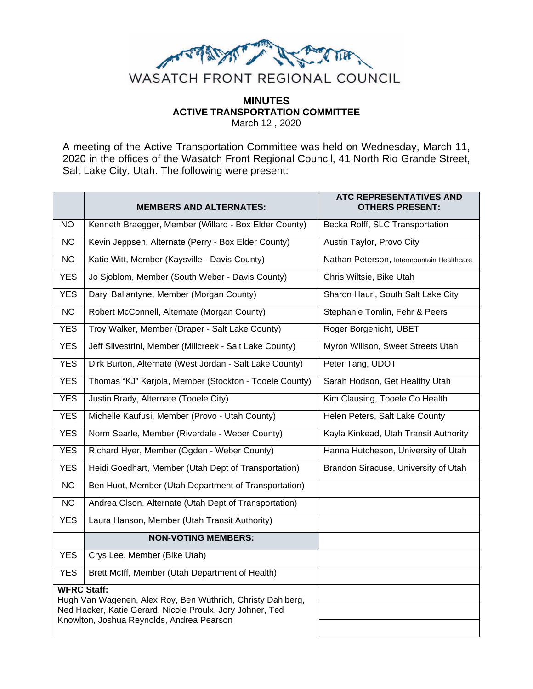

# **MINUTES ACTIVE TRANSPORTATION COMMITTEE** March 12 , 2020

A meeting of the Active Transportation Committee was held on Wednesday, March 11, 2020 in the offices of the Wasatch Front Regional Council, 41 North Rio Grande Street, Salt Lake City, Utah. The following were present:

|                                                                                                        | <b>MEMBERS AND ALTERNATES:</b>                          | ATC REPRESENTATIVES AND<br><b>OTHERS PRESENT:</b> |
|--------------------------------------------------------------------------------------------------------|---------------------------------------------------------|---------------------------------------------------|
| <b>NO</b>                                                                                              | Kenneth Braegger, Member (Willard - Box Elder County)   | Becka Rolff, SLC Transportation                   |
| <b>NO</b>                                                                                              | Kevin Jeppsen, Alternate (Perry - Box Elder County)     | Austin Taylor, Provo City                         |
| $\overline{NO}$                                                                                        | Katie Witt, Member (Kaysville - Davis County)           | Nathan Peterson, Intermountain Healthcare         |
| <b>YES</b>                                                                                             | Jo Sjoblom, Member (South Weber - Davis County)         | Chris Wiltsie, Bike Utah                          |
| <b>YES</b>                                                                                             | Daryl Ballantyne, Member (Morgan County)                | Sharon Hauri, South Salt Lake City                |
| <b>NO</b>                                                                                              | Robert McConnell, Alternate (Morgan County)             | Stephanie Tomlin, Fehr & Peers                    |
| <b>YES</b>                                                                                             | Troy Walker, Member (Draper - Salt Lake County)         | Roger Borgenicht, UBET                            |
| <b>YES</b>                                                                                             | Jeff Silvestrini, Member (Millcreek - Salt Lake County) | Myron Willson, Sweet Streets Utah                 |
| <b>YES</b>                                                                                             | Dirk Burton, Alternate (West Jordan - Salt Lake County) | Peter Tang, UDOT                                  |
| <b>YES</b>                                                                                             | Thomas "KJ" Karjola, Member (Stockton - Tooele County)  | Sarah Hodson, Get Healthy Utah                    |
| <b>YES</b>                                                                                             | Justin Brady, Alternate (Tooele City)                   | Kim Clausing, Tooele Co Health                    |
| <b>YES</b>                                                                                             | Michelle Kaufusi, Member (Provo - Utah County)          | Helen Peters, Salt Lake County                    |
| <b>YES</b>                                                                                             | Norm Searle, Member (Riverdale - Weber County)          | Kayla Kinkead, Utah Transit Authority             |
| <b>YES</b>                                                                                             | Richard Hyer, Member (Ogden - Weber County)             | Hanna Hutcheson, University of Utah               |
| <b>YES</b>                                                                                             | Heidi Goedhart, Member (Utah Dept of Transportation)    | Brandon Siracuse, University of Utah              |
| <b>NO</b>                                                                                              | Ben Huot, Member (Utah Department of Transportation)    |                                                   |
| <b>NO</b>                                                                                              | Andrea Olson, Alternate (Utah Dept of Transportation)   |                                                   |
| <b>YES</b>                                                                                             | Laura Hanson, Member (Utah Transit Authority)           |                                                   |
|                                                                                                        | <b>NON-VOTING MEMBERS:</b>                              |                                                   |
| <b>YES</b>                                                                                             | Crys Lee, Member (Bike Utah)                            |                                                   |
| <b>YES</b>                                                                                             | Brett McIff, Member (Utah Department of Health)         |                                                   |
| <b>WFRC Staff:</b><br>Hugh Van Wagenen, Alex Roy, Ben Wuthrich, Christy Dahlberg,                      |                                                         |                                                   |
| Ned Hacker, Katie Gerard, Nicole Proulx, Jory Johner, Ted<br>Knowlton, Joshua Reynolds, Andrea Pearson |                                                         |                                                   |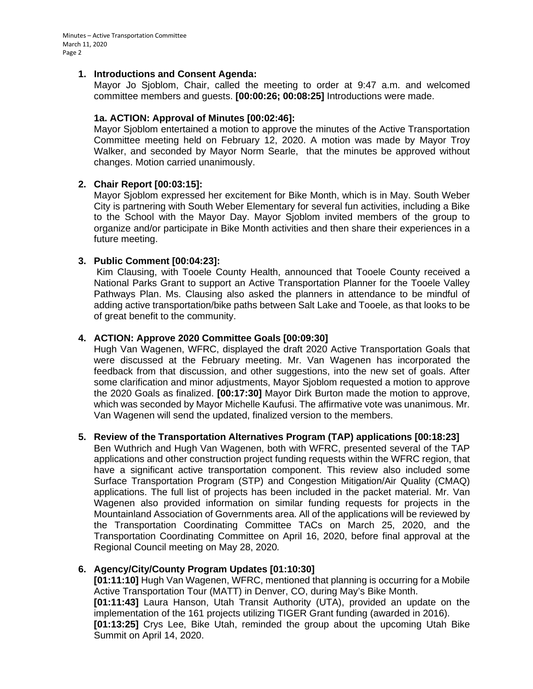## **1. Introductions and Consent Agenda:**

Mayor Jo Sjoblom, Chair, called the meeting to order at 9:47 a.m. and welcomed committee members and guests. **[00:00:26; 00:08:25]** Introductions were made.

# **1a. ACTION: Approval of Minutes [00:02:46]:**

Mayor Sjoblom entertained a motion to approve the minutes of the Active Transportation Committee meeting held on February 12, 2020. A motion was made by Mayor Troy Walker, and seconded by Mayor Norm Searle, that the minutes be approved without changes. Motion carried unanimously.

# **2. Chair Report [00:03:15]:**

Mayor Sjoblom expressed her excitement for Bike Month, which is in May. South Weber City is partnering with South Weber Elementary for several fun activities, including a Bike to the School with the Mayor Day. Mayor Sjoblom invited members of the group to organize and/or participate in Bike Month activities and then share their experiences in a future meeting.

# **3. Public Comment [00:04:23]:**

Kim Clausing, with Tooele County Health, announced that Tooele County received a National Parks Grant to support an Active Transportation Planner for the Tooele Valley Pathways Plan. Ms. Clausing also asked the planners in attendance to be mindful of adding active transportation/bike paths between Salt Lake and Tooele, as that looks to be of great benefit to the community.

# **4. ACTION: Approve 2020 Committee Goals [00:09:30]**

Hugh Van Wagenen, WFRC, displayed the draft 2020 Active Transportation Goals that were discussed at the February meeting. Mr. Van Wagenen has incorporated the feedback from that discussion, and other suggestions, into the new set of goals. After some clarification and minor adjustments, Mayor Sjoblom requested a motion to approve the 2020 Goals as finalized. **[00:17:30]** Mayor Dirk Burton made the motion to approve, which was seconded by Mayor Michelle Kaufusi. The affirmative vote was unanimous. Mr. Van Wagenen will send the updated, finalized version to the members.

#### **5. Review of the Transportation Alternatives Program (TAP) applications [00:18:23]**

Ben Wuthrich and Hugh Van Wagenen, both with WFRC, presented several of the TAP applications and other construction project funding requests within the WFRC region, that have a significant active transportation component. This review also included some Surface Transportation Program (STP) and Congestion Mitigation/Air Quality (CMAQ) applications. The full list of projects has been included in the packet material. Mr. Van Wagenen also provided information on similar funding requests for projects in the Mountainland Association of Governments area. All of the applications will be reviewed by the Transportation Coordinating Committee TACs on March 25, 2020, and the Transportation Coordinating Committee on April 16, 2020, before final approval at the Regional Council meeting on May 28, 2020*.*

# **6. Agency/City/County Program Updates [01:10:30]**

**[01:11:10]** Hugh Van Wagenen, WFRC, mentioned that planning is occurring for a Mobile Active Transportation Tour (MATT) in Denver, CO, during May's Bike Month. **[01:11:43]** Laura Hanson, Utah Transit Authority (UTA), provided an update on the implementation of the 161 projects utilizing TIGER Grant funding (awarded in 2016). **[01:13:25]** Crys Lee, Bike Utah, reminded the group about the upcoming Utah Bike Summit on April 14, 2020.